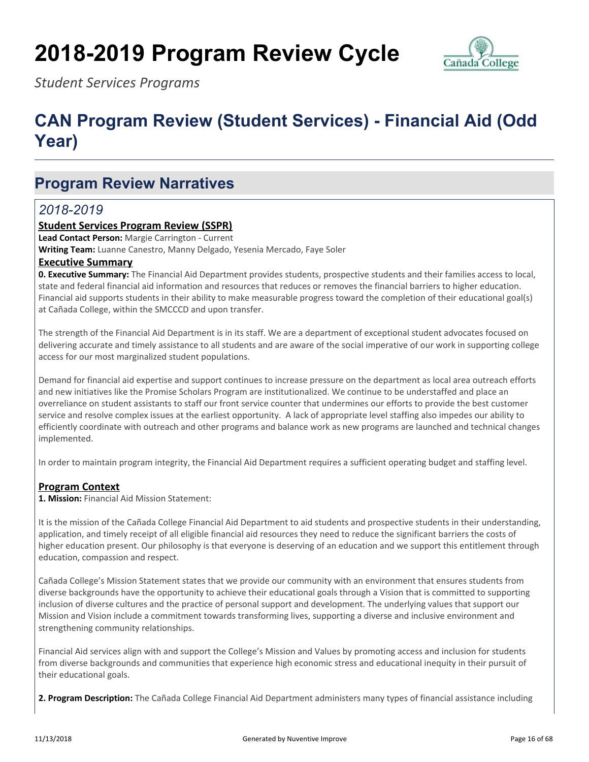# **2018-2019 Program Review Cycle**



*Student Services Programs*

## **CAN Program Review (Student Services) - Financial Aid (Odd Year)**

## **Program Review Narratives**

### *2018-2019*

#### **Student Services Program Review (SSPR)**

**Lead Contact Person:** Margie Carrington - Current

**Writing Team:** Luanne Canestro, Manny Delgado, Yesenia Mercado, Faye Soler

#### **Executive Summary**

**0. Executive Summary:** The Financial Aid Department provides students, prospective students and their families access to local, state and federal financial aid information and resources that reduces or removes the financial barriers to higher education. Financial aid supports students in their ability to make measurable progress toward the completion of their educational goal(s) at Cañada College, within the SMCCCD and upon transfer.

The strength of the Financial Aid Department is in its staff. We are a department of exceptional student advocates focused on delivering accurate and timely assistance to all students and are aware of the social imperative of our work in supporting college access for our most marginalized student populations.

Demand for financial aid expertise and support continues to increase pressure on the department as local area outreach efforts and new initiatives like the Promise Scholars Program are institutionalized. We continue to be understaffed and place an overreliance on student assistants to staff our front service counter that undermines our efforts to provide the best customer service and resolve complex issues at the earliest opportunity. A lack of appropriate level staffing also impedes our ability to efficiently coordinate with outreach and other programs and balance work as new programs are launched and technical changes implemented.

In order to maintain program integrity, the Financial Aid Department requires a sufficient operating budget and staffing level.

#### **Program Context**

**1. Mission:** Financial Aid Mission Statement:

It is the mission of the Cañada College Financial Aid Department to aid students and prospective students in their understanding, application, and timely receipt of all eligible financial aid resources they need to reduce the significant barriers the costs of higher education present. Our philosophy is that everyone is deserving of an education and we support this entitlement through education, compassion and respect.

Cañada College's Mission Statement states that we provide our community with an environment that ensures students from diverse backgrounds have the opportunity to achieve their educational goals through a Vision that is committed to supporting inclusion of diverse cultures and the practice of personal support and development. The underlying values that support our Mission and Vision include a commitment towards transforming lives, supporting a diverse and inclusive environment and strengthening community relationships.

Financial Aid services align with and support the College's Mission and Values by promoting access and inclusion for students from diverse backgrounds and communities that experience high economic stress and educational inequity in their pursuit of their educational goals.

**2. Program Description:** The Cañada College Financial Aid Department administers many types of financial assistance including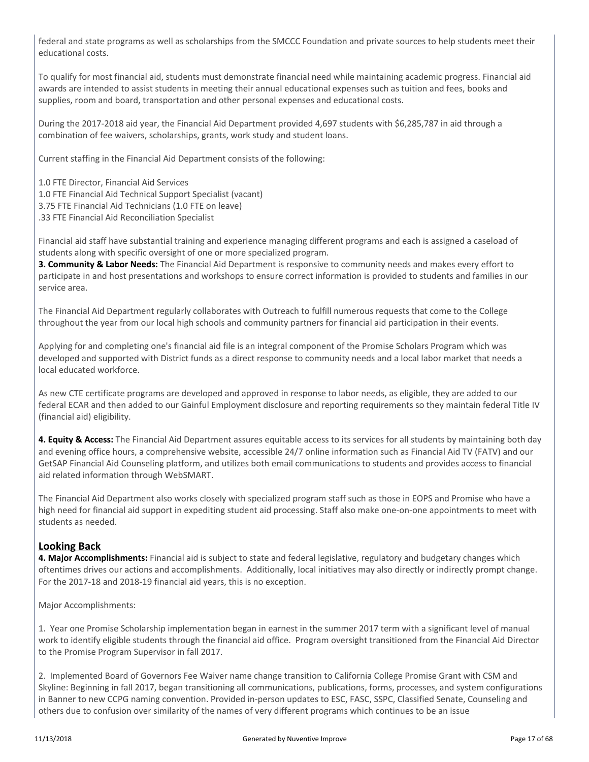federal and state programs as well as scholarships from the SMCCC Foundation and private sources to help students meet their educational costs.

To qualify for most financial aid, students must demonstrate financial need while maintaining academic progress. Financial aid awards are intended to assist students in meeting their annual educational expenses such as tuition and fees, books and supplies, room and board, transportation and other personal expenses and educational costs.

During the 2017-2018 aid year, the Financial Aid Department provided 4,697 students with \$6,285,787 in aid through a combination of fee waivers, scholarships, grants, work study and student loans.

Current staffing in the Financial Aid Department consists of the following:

1.0 FTE Director, Financial Aid Services

1.0 FTE Financial Aid Technical Support Specialist (vacant)

3.75 FTE Financial Aid Technicians (1.0 FTE on leave)

.33 FTE Financial Aid Reconciliation Specialist

Financial aid staff have substantial training and experience managing different programs and each is assigned a caseload of students along with specific oversight of one or more specialized program.

**3. Community & Labor Needs:** The Financial Aid Department is responsive to community needs and makes every effort to participate in and host presentations and workshops to ensure correct information is provided to students and families in our service area.

The Financial Aid Department regularly collaborates with Outreach to fulfill numerous requests that come to the College throughout the year from our local high schools and community partners for financial aid participation in their events.

Applying for and completing one's financial aid file is an integral component of the Promise Scholars Program which was developed and supported with District funds as a direct response to community needs and a local labor market that needs a local educated workforce.

As new CTE certificate programs are developed and approved in response to labor needs, as eligible, they are added to our federal ECAR and then added to our Gainful Employment disclosure and reporting requirements so they maintain federal Title IV (financial aid) eligibility.

**4. Equity & Access:** The Financial Aid Department assures equitable access to its services for all students by maintaining both day and evening office hours, a comprehensive website, accessible 24/7 online information such as Financial Aid TV (FATV) and our GetSAP Financial Aid Counseling platform, and utilizes both email communications to students and provides access to financial aid related information through WebSMART.

The Financial Aid Department also works closely with specialized program staff such as those in EOPS and Promise who have a high need for financial aid support in expediting student aid processing. Staff also make one-on-one appointments to meet with students as needed.

#### **Looking Back**

**4. Major Accomplishments:** Financial aid is subject to state and federal legislative, regulatory and budgetary changes which oftentimes drives our actions and accomplishments. Additionally, local initiatives may also directly or indirectly prompt change. For the 2017-18 and 2018-19 financial aid years, this is no exception.

Major Accomplishments:

1. Year one Promise Scholarship implementation began in earnest in the summer 2017 term with a significant level of manual work to identify eligible students through the financial aid office. Program oversight transitioned from the Financial Aid Director to the Promise Program Supervisor in fall 2017.

2. Implemented Board of Governors Fee Waiver name change transition to California College Promise Grant with CSM and Skyline: Beginning in fall 2017, began transitioning all communications, publications, forms, processes, and system configurations in Banner to new CCPG naming convention. Provided in-person updates to ESC, FASC, SSPC, Classified Senate, Counseling and others due to confusion over similarity of the names of very different programs which continues to be an issue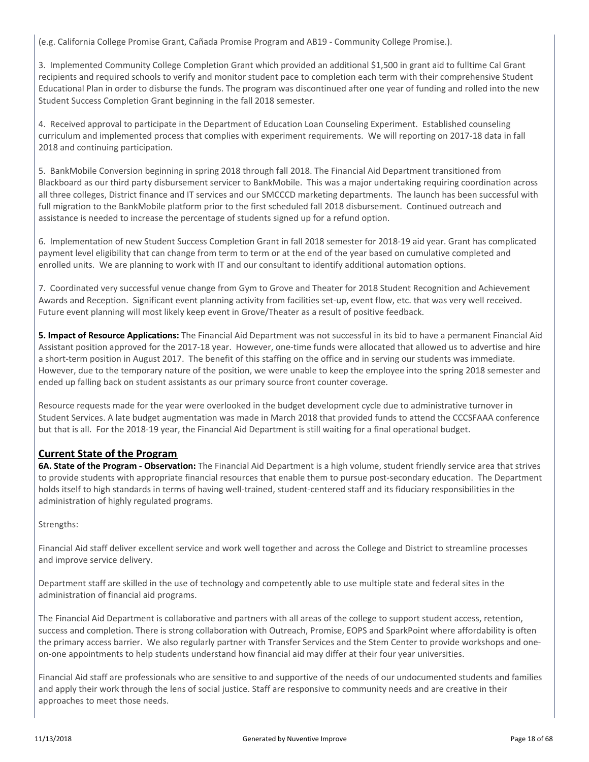(e.g. California College Promise Grant, Cañada Promise Program and AB19 - Community College Promise.).

3. Implemented Community College Completion Grant which provided an additional \$1,500 in grant aid to fulltime Cal Grant recipients and required schools to verify and monitor student pace to completion each term with their comprehensive Student Educational Plan in order to disburse the funds. The program was discontinued after one year of funding and rolled into the new Student Success Completion Grant beginning in the fall 2018 semester.

4. Received approval to participate in the Department of Education Loan Counseling Experiment. Established counseling curriculum and implemented process that complies with experiment requirements. We will reporting on 2017-18 data in fall 2018 and continuing participation.

5. BankMobile Conversion beginning in spring 2018 through fall 2018. The Financial Aid Department transitioned from Blackboard as our third party disbursement servicer to BankMobile. This was a major undertaking requiring coordination across all three colleges, District finance and IT services and our SMCCCD marketing departments. The launch has been successful with full migration to the BankMobile platform prior to the first scheduled fall 2018 disbursement. Continued outreach and assistance is needed to increase the percentage of students signed up for a refund option.

6. Implementation of new Student Success Completion Grant in fall 2018 semester for 2018-19 aid year. Grant has complicated payment level eligibility that can change from term to term or at the end of the year based on cumulative completed and enrolled units. We are planning to work with IT and our consultant to identify additional automation options.

7. Coordinated very successful venue change from Gym to Grove and Theater for 2018 Student Recognition and Achievement Awards and Reception. Significant event planning activity from facilities set-up, event flow, etc. that was very well received. Future event planning will most likely keep event in Grove/Theater as a result of positive feedback.

**5. Impact of Resource Applications:** The Financial Aid Department was not successful in its bid to have a permanent Financial Aid Assistant position approved for the 2017-18 year. However, one-time funds were allocated that allowed us to advertise and hire a short-term position in August 2017. The benefit of this staffing on the office and in serving our students was immediate. However, due to the temporary nature of the position, we were unable to keep the employee into the spring 2018 semester and ended up falling back on student assistants as our primary source front counter coverage.

Resource requests made for the year were overlooked in the budget development cycle due to administrative turnover in Student Services. A late budget augmentation was made in March 2018 that provided funds to attend the CCCSFAAA conference but that is all. For the 2018-19 year, the Financial Aid Department is still waiting for a final operational budget.

#### **Current State of the Program**

**6A. State of the Program - Observation:** The Financial Aid Department is a high volume, student friendly service area that strives to provide students with appropriate financial resources that enable them to pursue post-secondary education. The Department holds itself to high standards in terms of having well-trained, student-centered staff and its fiduciary responsibilities in the administration of highly regulated programs.

#### Strengths:

Financial Aid staff deliver excellent service and work well together and across the College and District to streamline processes and improve service delivery.

Department staff are skilled in the use of technology and competently able to use multiple state and federal sites in the administration of financial aid programs.

The Financial Aid Department is collaborative and partners with all areas of the college to support student access, retention, success and completion. There is strong collaboration with Outreach, Promise, EOPS and SparkPoint where affordability is often the primary access barrier. We also regularly partner with Transfer Services and the Stem Center to provide workshops and oneon-one appointments to help students understand how financial aid may differ at their four year universities.

Financial Aid staff are professionals who are sensitive to and supportive of the needs of our undocumented students and families and apply their work through the lens of social justice. Staff are responsive to community needs and are creative in their approaches to meet those needs.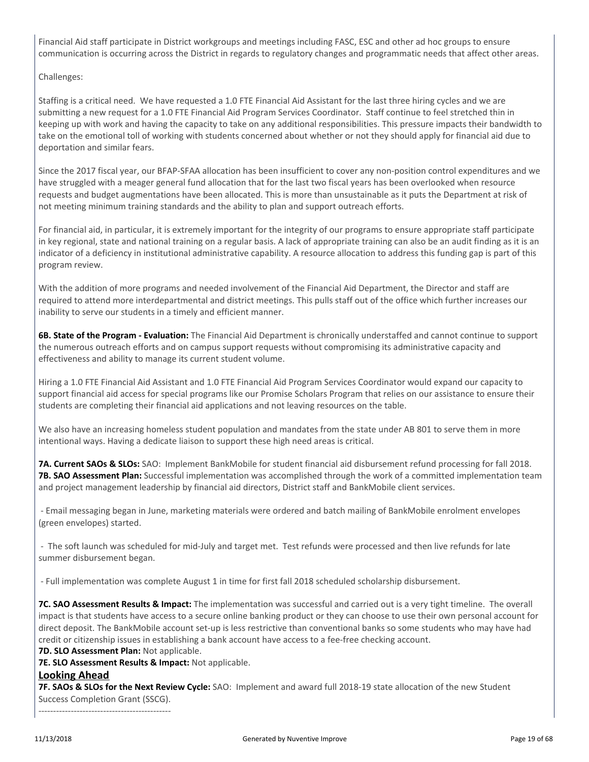Financial Aid staff participate in District workgroups and meetings including FASC, ESC and other ad hoc groups to ensure communication is occurring across the District in regards to regulatory changes and programmatic needs that affect other areas.

#### Challenges:

Staffing is a critical need. We have requested a 1.0 FTE Financial Aid Assistant for the last three hiring cycles and we are submitting a new request for a 1.0 FTE Financial Aid Program Services Coordinator. Staff continue to feel stretched thin in keeping up with work and having the capacity to take on any additional responsibilities. This pressure impacts their bandwidth to take on the emotional toll of working with students concerned about whether or not they should apply for financial aid due to deportation and similar fears.

Since the 2017 fiscal year, our BFAP-SFAA allocation has been insufficient to cover any non-position control expenditures and we have struggled with a meager general fund allocation that for the last two fiscal years has been overlooked when resource requests and budget augmentations have been allocated. This is more than unsustainable as it puts the Department at risk of not meeting minimum training standards and the ability to plan and support outreach efforts.

For financial aid, in particular, it is extremely important for the integrity of our programs to ensure appropriate staff participate in key regional, state and national training on a regular basis. A lack of appropriate training can also be an audit finding as it is an indicator of a deficiency in institutional administrative capability. A resource allocation to address this funding gap is part of this program review.

With the addition of more programs and needed involvement of the Financial Aid Department, the Director and staff are required to attend more interdepartmental and district meetings. This pulls staff out of the office which further increases our inability to serve our students in a timely and efficient manner.

**6B. State of the Program - Evaluation:** The Financial Aid Department is chronically understaffed and cannot continue to support the numerous outreach efforts and on campus support requests without compromising its administrative capacity and effectiveness and ability to manage its current student volume.

Hiring a 1.0 FTE Financial Aid Assistant and 1.0 FTE Financial Aid Program Services Coordinator would expand our capacity to support financial aid access for special programs like our Promise Scholars Program that relies on our assistance to ensure their students are completing their financial aid applications and not leaving resources on the table.

We also have an increasing homeless student population and mandates from the state under AB 801 to serve them in more intentional ways. Having a dedicate liaison to support these high need areas is critical.

**7A. Current SAOs & SLOs:** SAO: Implement BankMobile for student financial aid disbursement refund processing for fall 2018. **7B. SAO Assessment Plan:** Successful implementation was accomplished through the work of a committed implementation team and project management leadership by financial aid directors, District staff and BankMobile client services.

 - Email messaging began in June, marketing materials were ordered and batch mailing of BankMobile enrolment envelopes (green envelopes) started.

 - The soft launch was scheduled for mid-July and target met. Test refunds were processed and then live refunds for late summer disbursement began.

- Full implementation was complete August 1 in time for first fall 2018 scheduled scholarship disbursement.

**7C. SAO Assessment Results & Impact:** The implementation was successful and carried out is a very tight timeline. The overall impact is that students have access to a secure online banking product or they can choose to use their own personal account for direct deposit. The BankMobile account set-up is less restrictive than conventional banks so some students who may have had credit or citizenship issues in establishing a bank account have access to a fee-free checking account.

**7D. SLO Assessment Plan:** Not applicable.

---------------------------------------------

**7E. SLO Assessment Results & Impact:** Not applicable.

#### **Looking Ahead**

**7F. SAOs & SLOs for the Next Review Cycle:** SAO: Implement and award full 2018-19 state allocation of the new Student Success Completion Grant (SSCG).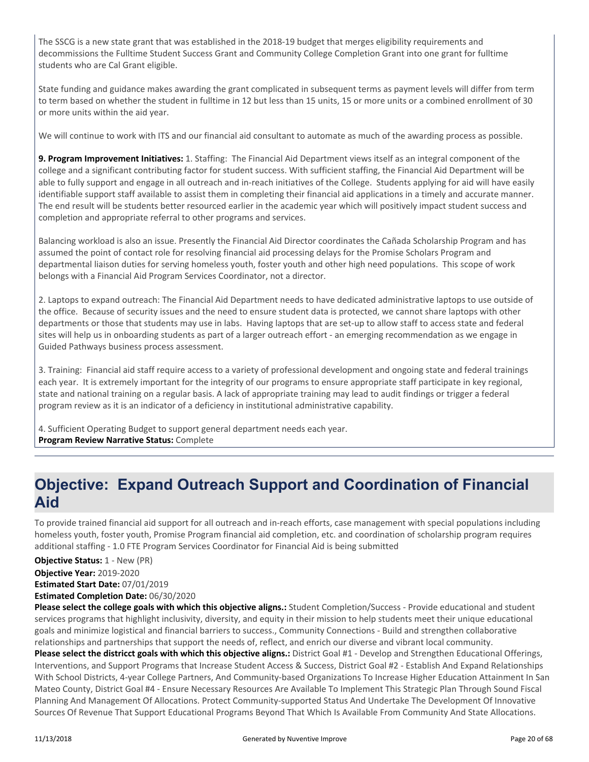The SSCG is a new state grant that was established in the 2018-19 budget that merges eligibility requirements and decommissions the Fulltime Student Success Grant and Community College Completion Grant into one grant for fulltime students who are Cal Grant eligible.

State funding and guidance makes awarding the grant complicated in subsequent terms as payment levels will differ from term to term based on whether the student in fulltime in 12 but less than 15 units, 15 or more units or a combined enrollment of 30 or more units within the aid year.

We will continue to work with ITS and our financial aid consultant to automate as much of the awarding process as possible.

**9. Program Improvement Initiatives:** 1. Staffing: The Financial Aid Department views itself as an integral component of the college and a significant contributing factor for student success. With sufficient staffing, the Financial Aid Department will be able to fully support and engage in all outreach and in-reach initiatives of the College. Students applying for aid will have easily identifiable support staff available to assist them in completing their financial aid applications in a timely and accurate manner. The end result will be students better resourced earlier in the academic year which will positively impact student success and completion and appropriate referral to other programs and services.

Balancing workload is also an issue. Presently the Financial Aid Director coordinates the Cañada Scholarship Program and has assumed the point of contact role for resolving financial aid processing delays for the Promise Scholars Program and departmental liaison duties for serving homeless youth, foster youth and other high need populations. This scope of work belongs with a Financial Aid Program Services Coordinator, not a director.

2. Laptops to expand outreach: The Financial Aid Department needs to have dedicated administrative laptops to use outside of the office. Because of security issues and the need to ensure student data is protected, we cannot share laptops with other departments or those that students may use in labs. Having laptops that are set-up to allow staff to access state and federal sites will help us in onboarding students as part of a larger outreach effort - an emerging recommendation as we engage in Guided Pathways business process assessment.

3. Training: Financial aid staff require access to a variety of professional development and ongoing state and federal trainings each year. It is extremely important for the integrity of our programs to ensure appropriate staff participate in key regional, state and national training on a regular basis. A lack of appropriate training may lead to audit findings or trigger a federal program review as it is an indicator of a deficiency in institutional administrative capability.

4. Sufficient Operating Budget to support general department needs each year. **Program Review Narrative Status:** Complete

## **Objective: Expand Outreach Support and Coordination of Financial Aid**

To provide trained financial aid support for all outreach and in-reach efforts, case management with special populations including homeless youth, foster youth, Promise Program financial aid completion, etc. and coordination of scholarship program requires additional staffing - 1.0 FTE Program Services Coordinator for Financial Aid is being submitted

**Objective Status:** 1 - New (PR)

**Objective Year:** 2019-2020

**Estimated Start Date:** 07/01/2019

**Estimated Completion Date:** 06/30/2020

**Please select the college goals with which this objective aligns.:** Student Completion/Success - Provide educational and student services programs that highlight inclusivity, diversity, and equity in their mission to help students meet their unique educational goals and minimize logistical and financial barriers to success., Community Connections - Build and strengthen collaborative relationships and partnerships that support the needs of, reflect, and enrich our diverse and vibrant local community.

**Please select the districct goals with which this objective aligns.:** District Goal #1 - Develop and Strengthen Educational Offerings, Interventions, and Support Programs that Increase Student Access & Success, District Goal #2 - Establish And Expand Relationships With School Districts, 4-year College Partners, And Community-based Organizations To Increase Higher Education Attainment In San Mateo County, District Goal #4 - Ensure Necessary Resources Are Available To Implement This Strategic Plan Through Sound Fiscal Planning And Management Of Allocations. Protect Community-supported Status And Undertake The Development Of Innovative Sources Of Revenue That Support Educational Programs Beyond That Which Is Available From Community And State Allocations.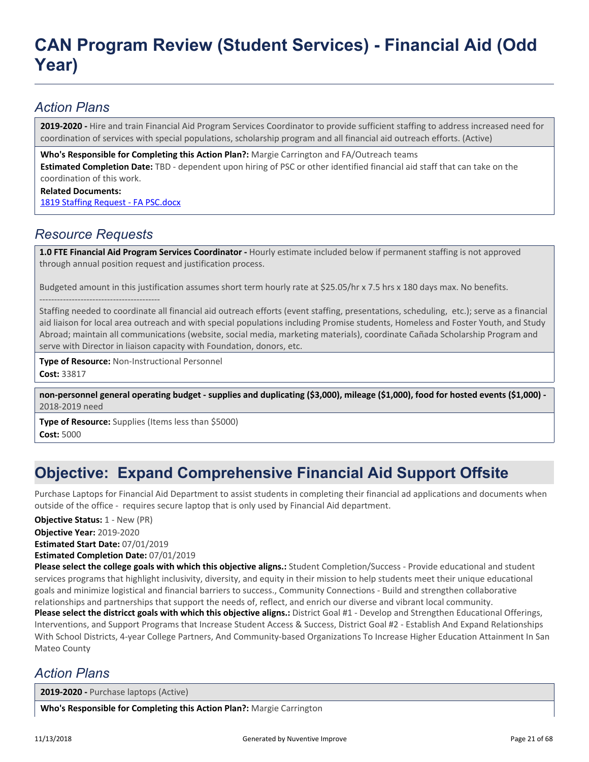### *Action Plans*

**2019-2020 -** Hire and train Financial Aid Program Services Coordinator to provide sufficient staffing to address increased need for coordination of services with special populations, scholarship program and all financial aid outreach efforts. (Active)

**Who's Responsible for Completing this Action Plan?:** Margie Carrington and FA/Outreach teams **Estimated Completion Date:** TBD - dependent upon hiring of PSC or other identified financial aid staff that can take on the coordination of this work.

#### **Related Documents:**

[1819 Staffing Request - FA PSC.docx](https://sanmateo.tracdat.com:443/tracdat/viewDocument?y=qX5cjoaGFIsp)

### *Resource Requests*

**1.0 FTE Financial Aid Program Services Coordinator -** Hourly estimate included below if permanent staffing is not approved through annual position request and justification process.

Budgeted amount in this justification assumes short term hourly rate at \$25.05/hr x 7.5 hrs x 180 days max. No benefits.

----------------------------------------- Staffing needed to coordinate all financial aid outreach efforts (event staffing, presentations, scheduling, etc.); serve as a financial aid liaison for local area outreach and with special populations including Promise students, Homeless and Foster Youth, and Study Abroad; maintain all communications (website, social media, marketing materials), coordinate Cañada Scholarship Program and serve with Director in liaison capacity with Foundation, donors, etc.

**Type of Resource:** Non-Instructional Personnel **Cost:** 33817

**non-personnel general operating budget - supplies and duplicating (\$3,000), mileage (\$1,000), food for hosted events (\$1,000) -** 2018-2019 need

**Type of Resource:** Supplies (Items less than \$5000) **Cost:** 5000

## **Objective: Expand Comprehensive Financial Aid Support Offsite**

Purchase Laptops for Financial Aid Department to assist students in completing their financial ad applications and documents when outside of the office - requires secure laptop that is only used by Financial Aid department.

**Objective Status: 1 - New (PR)** 

**Objective Year:** 2019-2020

**Estimated Start Date:** 07/01/2019

**Estimated Completion Date:** 07/01/2019

**Please select the college goals with which this objective aligns.:** Student Completion/Success - Provide educational and student services programs that highlight inclusivity, diversity, and equity in their mission to help students meet their unique educational goals and minimize logistical and financial barriers to success., Community Connections - Build and strengthen collaborative relationships and partnerships that support the needs of, reflect, and enrich our diverse and vibrant local community.

**Please select the districct goals with which this objective aligns.:** District Goal #1 - Develop and Strengthen Educational Offerings, Interventions, and Support Programs that Increase Student Access & Success, District Goal #2 - Establish And Expand Relationships With School Districts, 4-year College Partners, And Community-based Organizations To Increase Higher Education Attainment In San Mateo County

### *Action Plans*

**2019-2020 -** Purchase laptops (Active)

**Who's Responsible for Completing this Action Plan?:** Margie Carrington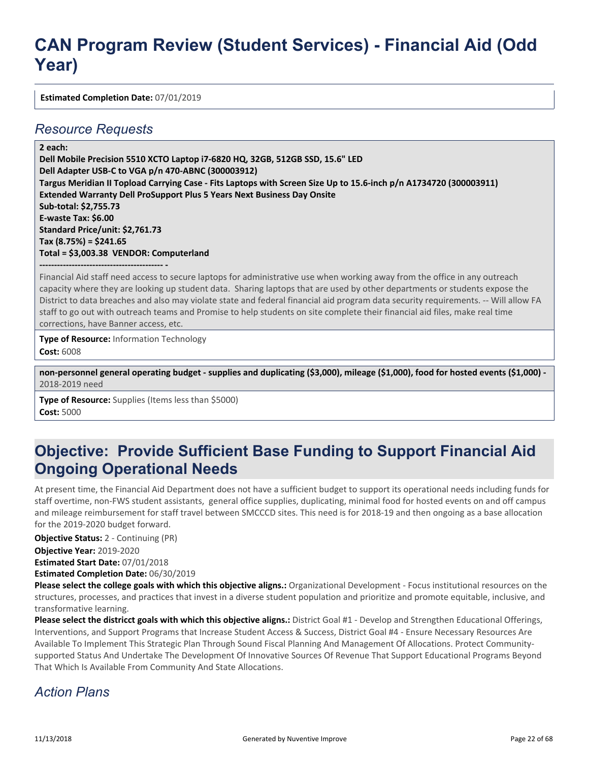**Estimated Completion Date:** 07/01/2019

#### *Resource Requests*

**2 each:**

**Dell Mobile Precision 5510 XCTO Laptop i7-6820 HQ, 32GB, 512GB SSD, 15.6" LED Dell Adapter USB-C to VGA p/n 470-ABNC (300003912) Targus Meridian II Topload Carrying Case - Fits Laptops with Screen Size Up to 15.6-inch p/n A1734720 (300003911) Extended Warranty Dell ProSupport Plus 5 Years Next Business Day Onsite Sub-total: \$2,755.73 E-waste Tax: \$6.00 Standard Price/unit: \$2,761.73 Tax (8.75%) = \$241.65 Total = \$3,003.38 VENDOR: Computerland**

**------------------------------------------ -** Financial Aid staff need access to secure laptops for administrative use when working away from the office in any outreach capacity where they are looking up student data. Sharing laptops that are used by other departments or students expose the District to data breaches and also may violate state and federal financial aid program data security requirements. -- Will allow FA staff to go out with outreach teams and Promise to help students on site complete their financial aid files, make real time corrections, have Banner access, etc.

**Type of Resource:** Information Technology **Cost:** 6008

**non-personnel general operating budget - supplies and duplicating (\$3,000), mileage (\$1,000), food for hosted events (\$1,000) -** 2018-2019 need

**Type of Resource:** Supplies (Items less than \$5000) **Cost:** 5000

## **Objective: Provide Sufficient Base Funding to Support Financial Aid Ongoing Operational Needs**

At present time, the Financial Aid Department does not have a sufficient budget to support its operational needs including funds for staff overtime, non-FWS student assistants, general office supplies, duplicating, minimal food for hosted events on and off campus and mileage reimbursement for staff travel between SMCCCD sites. This need is for 2018-19 and then ongoing as a base allocation for the 2019-2020 budget forward.

**Objective Status:** 2 - Continuing (PR)

**Objective Year:** 2019-2020

**Estimated Start Date:** 07/01/2018

**Estimated Completion Date:** 06/30/2019

**Please select the college goals with which this objective aligns.:** Organizational Development - Focus institutional resources on the structures, processes, and practices that invest in a diverse student population and prioritize and promote equitable, inclusive, and transformative learning.

**Please select the districct goals with which this objective aligns.:** District Goal #1 - Develop and Strengthen Educational Offerings, Interventions, and Support Programs that Increase Student Access & Success, District Goal #4 - Ensure Necessary Resources Are Available To Implement This Strategic Plan Through Sound Fiscal Planning And Management Of Allocations. Protect Communitysupported Status And Undertake The Development Of Innovative Sources Of Revenue That Support Educational Programs Beyond That Which Is Available From Community And State Allocations.

### *Action Plans*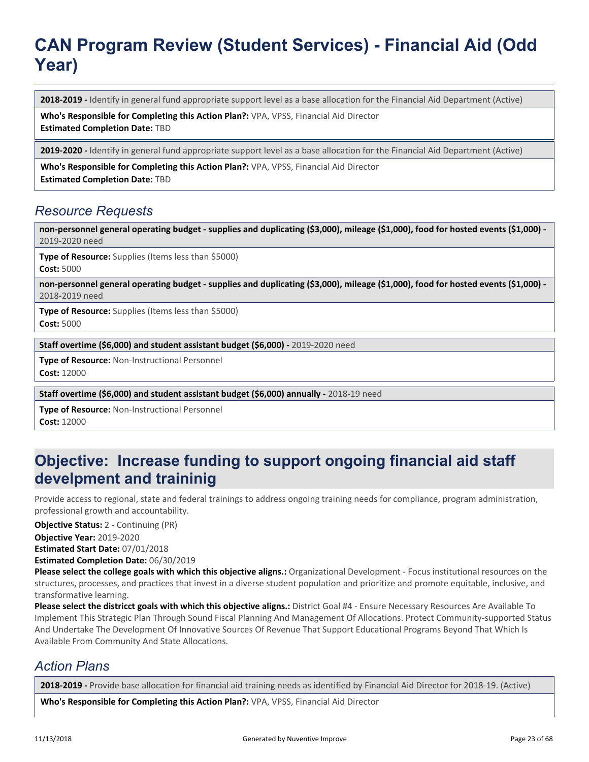**2018-2019 -** Identify in general fund appropriate support level as a base allocation for the Financial Aid Department (Active)

**Who's Responsible for Completing this Action Plan?:** VPA, VPSS, Financial Aid Director **Estimated Completion Date:** TBD

**2019-2020 -** Identify in general fund appropriate support level as a base allocation for the Financial Aid Department (Active)

**Who's Responsible for Completing this Action Plan?:** VPA, VPSS, Financial Aid Director **Estimated Completion Date:** TBD

#### *Resource Requests*

**non-personnel general operating budget - supplies and duplicating (\$3,000), mileage (\$1,000), food for hosted events (\$1,000) -** 2019-2020 need

**Type of Resource:** Supplies (Items less than \$5000) **Cost:** 5000

**non-personnel general operating budget - supplies and duplicating (\$3,000), mileage (\$1,000), food for hosted events (\$1,000) -** 2018-2019 need

**Type of Resource:** Supplies (Items less than \$5000) **Cost:** 5000

**Staff overtime (\$6,000) and student assistant budget (\$6,000) -** 2019-2020 need

**Type of Resource:** Non-Instructional Personnel **Cost:** 12000

**Staff overtime (\$6,000) and student assistant budget (\$6,000) annually - 2018-19 need** 

**Type of Resource:** Non-Instructional Personnel **Cost:** 12000

## **Objective: Increase funding to support ongoing financial aid staff develpment and traininig**

Provide access to regional, state and federal trainings to address ongoing training needs for compliance, program administration, professional growth and accountability.

**Objective Status:** 2 - Continuing (PR)

**Objective Year:** 2019-2020

**Estimated Start Date:** 07/01/2018

**Estimated Completion Date:** 06/30/2019

**Please select the college goals with which this objective aligns.:** Organizational Development - Focus institutional resources on the structures, processes, and practices that invest in a diverse student population and prioritize and promote equitable, inclusive, and transformative learning.

**Please select the districct goals with which this objective aligns.:** District Goal #4 - Ensure Necessary Resources Are Available To Implement This Strategic Plan Through Sound Fiscal Planning And Management Of Allocations. Protect Community-supported Status And Undertake The Development Of Innovative Sources Of Revenue That Support Educational Programs Beyond That Which Is Available From Community And State Allocations.

### *Action Plans*

**2018-2019 -** Provide base allocation for financial aid training needs as identified by Financial Aid Director for 2018-19. (Active)

**Who's Responsible for Completing this Action Plan?:** VPA, VPSS, Financial Aid Director